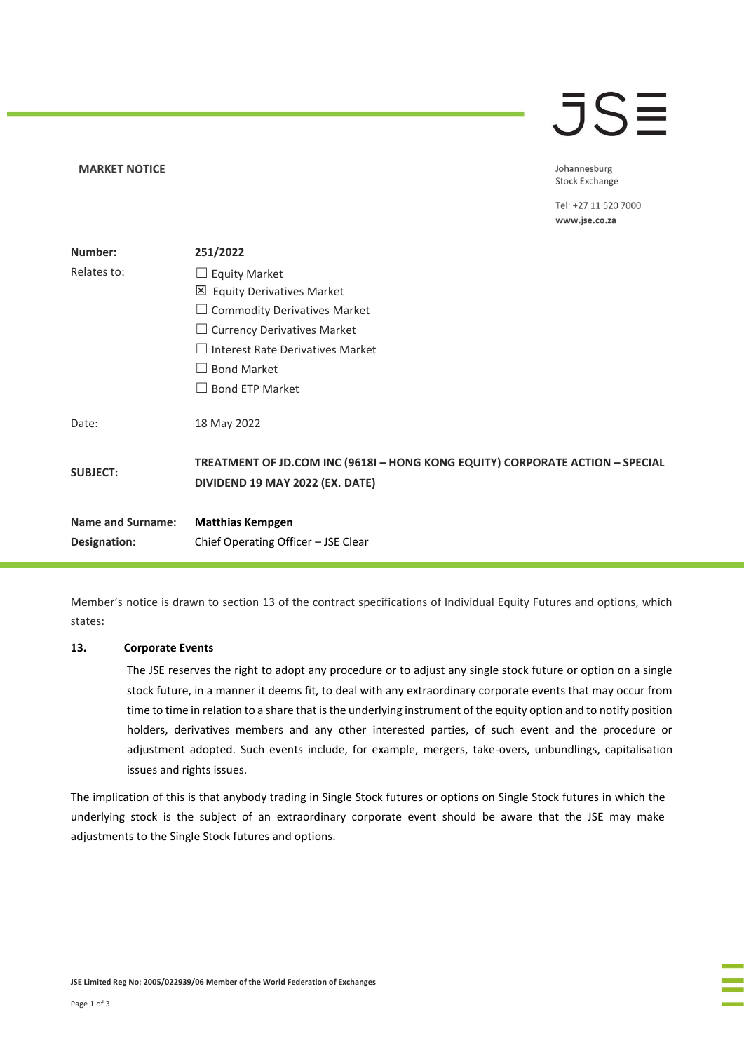## $\overline{\mathsf{J}}\mathsf{S}\overline{\Xi}$

Johannesburg **Stock Exchange** 

Tel: +27 11 520 7000 www.jse.co.za

| Number:                  | 251/2022                                                                                                         |  |
|--------------------------|------------------------------------------------------------------------------------------------------------------|--|
| Relates to:              | $\Box$ Equity Market                                                                                             |  |
|                          | 凶 Equity Derivatives Market                                                                                      |  |
|                          | $\Box$ Commodity Derivatives Market                                                                              |  |
|                          | $\Box$ Currency Derivatives Market                                                                               |  |
|                          | $\Box$ Interest Rate Derivatives Market                                                                          |  |
|                          | <b>Bond Market</b>                                                                                               |  |
|                          | <b>Bond ETP Market</b>                                                                                           |  |
| Date:                    | 18 May 2022                                                                                                      |  |
| <b>SUBJECT:</b>          | TREATMENT OF JD.COM INC (9618I - HONG KONG EQUITY) CORPORATE ACTION - SPECIAL<br>DIVIDEND 19 MAY 2022 (EX. DATE) |  |
| <b>Name and Surname:</b> | <b>Matthias Kempgen</b>                                                                                          |  |
| Designation:             | Chief Operating Officer - JSE Clear                                                                              |  |

Member's notice is drawn to section 13 of the contract specifications of Individual Equity Futures and options, which states:

#### **13. Corporate Events**

**MARKET NOTICE** 

The JSE reserves the right to adopt any procedure or to adjust any single stock future or option on a single stock future, in a manner it deems fit, to deal with any extraordinary corporate events that may occur from time to time in relation to a share that is the underlying instrument of the equity option and to notify position holders, derivatives members and any other interested parties, of such event and the procedure or adjustment adopted. Such events include, for example, mergers, take-overs, unbundlings, capitalisation issues and rights issues.

The implication of this is that anybody trading in Single Stock futures or options on Single Stock futures in which the underlying stock is the subject of an extraordinary corporate event should be aware that the JSE may make adjustments to the Single Stock futures and options.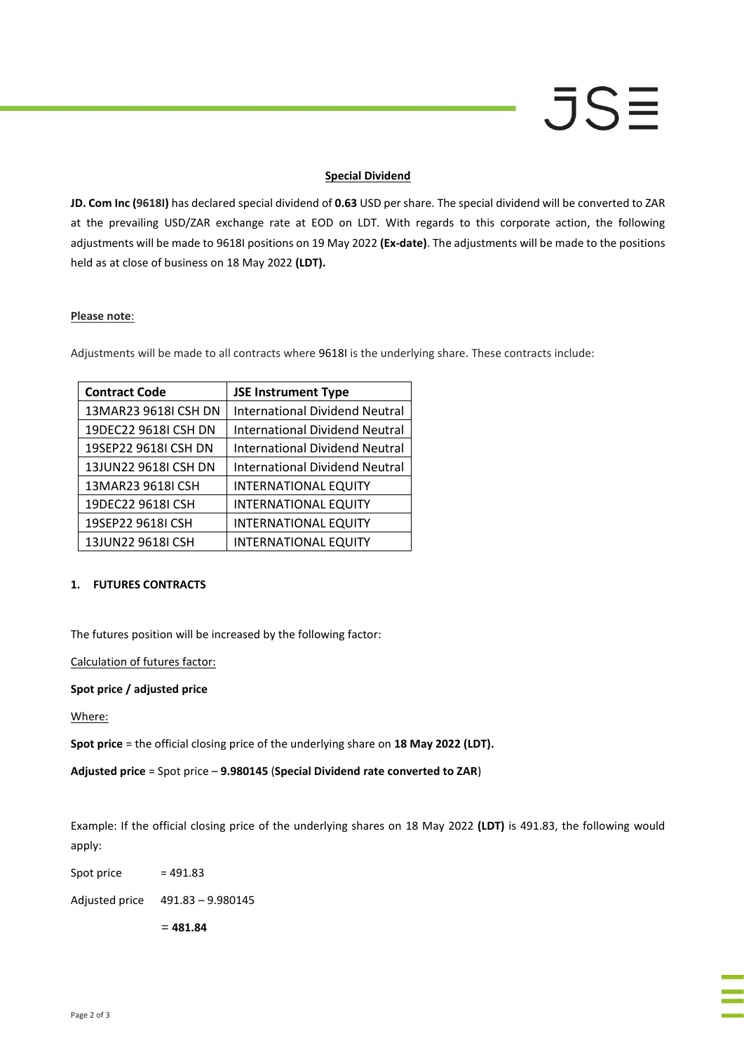# JSE

#### **Special Dividend**

**JD. Com Inc (9618I)** has declared special dividend of **0.63** USD per share. The special dividend will be converted to ZAR at the prevailing USD/ZAR exchange rate at EOD on LDT. With regards to this corporate action, the following adjustments will be made to 9618I positions on 19 May 2022 **(Ex-date)**. The adjustments will be made to the positions held as at close of business on 18 May 2022 **(LDT).**

#### **Please note**:

Adjustments will be made to all contracts where 9618I is the underlying share. These contracts include:

| <b>Contract Code</b> | <b>JSE Instrument Type</b>            |
|----------------------|---------------------------------------|
| 13MAR23 9618I CSH DN | <b>International Dividend Neutral</b> |
| 19DEC22 9618I CSH DN | <b>International Dividend Neutral</b> |
| 19SEP22 9618I CSH DN | <b>International Dividend Neutral</b> |
| 13JUN22 9618I CSH DN | <b>International Dividend Neutral</b> |
| 13MAR23 9618I CSH    | <b>INTERNATIONAL EQUITY</b>           |
| 19DEC22 9618I CSH    | <b>INTERNATIONAL EQUITY</b>           |
| 19SEP22 9618I CSH    | <b>INTERNATIONAL EQUITY</b>           |
| 13JUN22 9618I CSH    | <b>INTERNATIONAL EQUITY</b>           |

### **1. FUTURES CONTRACTS**

The futures position will be increased by the following factor:

Calculation of futures factor:

#### **Spot price / adjusted price**

Where:

**Spot price** = the official closing price of the underlying share on **18 May 2022 (LDT).**

**Adjusted price** = Spot price – **9.980145** (**Special Dividend rate converted to ZAR**)

Example: If the official closing price of the underlying shares on 18 May 2022 **(LDT)** is 491.83, the following would apply:

Spot price  $= 491.83$ 

Adjusted price 491.83 – 9.980145

= **481.84**